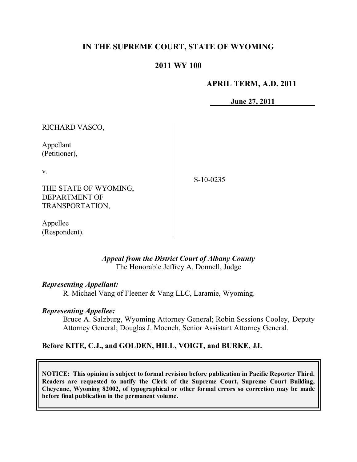# **IN THE SUPREME COURT, STATE OF WYOMING**

### **2011 WY 100**

#### **APRIL TERM, A.D. 2011**

**June 27, 2011**

RICHARD VASCO,

Appellant (Petitioner),

v.

S-10-0235

THE STATE OF WYOMING, DEPARTMENT OF TRANSPORTATION,

Appellee (Respondent).

> *Appeal from the District Court of Albany County* The Honorable Jeffrey A. Donnell, Judge

### *Representing Appellant:*

R. Michael Vang of Fleener & Vang LLC, Laramie, Wyoming.

### *Representing Appellee:*

Bruce A. Salzburg, Wyoming Attorney General; Robin Sessions Cooley, Deputy Attorney General; Douglas J. Moench, Senior Assistant Attorney General.

# **Before KITE, C.J., and GOLDEN, HILL, VOIGT, and BURKE, JJ.**

**NOTICE: This opinion is subject to formal revision before publication in Pacific Reporter Third. Readers are requested to notify the Clerk of the Supreme Court, Supreme Court Building, Cheyenne, Wyoming 82002, of typographical or other formal errors so correction may be made before final publication in the permanent volume.**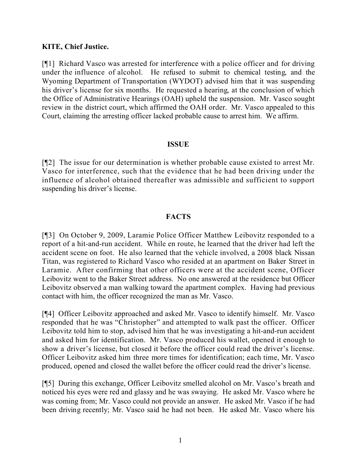### **KITE, Chief Justice.**

[¶1] Richard Vasco was arrested for interference with a police officer and for driving under the influence of alcohol. He refused to submit to chemical testing, and the Wyoming Department of Transportation (WYDOT) advised him that it was suspending his driver's license for six months. He requested a hearing, at the conclusion of which the Office of Administrative Hearings (OAH) upheld the suspension. Mr. Vasco sought review in the district court, which affirmed the OAH order. Mr. Vasco appealed to this Court, claiming the arresting officer lacked probable cause to arrest him. We affirm.

### **ISSUE**

[¶2] The issue for our determination is whether probable cause existed to arrest Mr. Vasco for interference, such that the evidence that he had been driving under the influence of alcohol obtained thereafter was admissible and sufficient to support suspending his driver's license.

# **FACTS**

[¶3] On October 9, 2009, Laramie Police Officer Matthew Leibovitz responded to a report of a hit-and-run accident. While en route, he learned that the driver had left the accident scene on foot. He also learned that the vehicle involved, a 2008 black Nissan Titan, was registered to Richard Vasco who resided at an apartment on Baker Street in Laramie. After confirming that other officers were at the accident scene, Officer Leibovitz went to the Baker Street address. No one answered at the residence but Officer Leibovitz observed a man walking toward the apartment complex. Having had previous contact with him, the officer recognized the man as Mr. Vasco.

[¶4] Officer Leibovitz approached and asked Mr. Vasco to identify himself. Mr. Vasco responded that he was "Christopher" and attempted to walk past the officer. Officer Leibovitz told him to stop, advised him that he was investigating a hit-and-run accident and asked him for identification. Mr. Vasco produced his wallet, opened it enough to show a driver's license, but closed it before the officer could read the driver's license. Officer Leibovitz asked him three more times for identification; each time, Mr. Vasco produced, opened and closed the wallet before the officer could read the driver's license.

[¶5] During this exchange, Officer Leibovitz smelled alcohol on Mr. Vasco's breath and noticed his eyes were red and glassy and he was swaying. He asked Mr. Vasco where he was coming from; Mr. Vasco could not provide an answer. He asked Mr. Vasco if he had been driving recently; Mr. Vasco said he had not been. He asked Mr. Vasco where his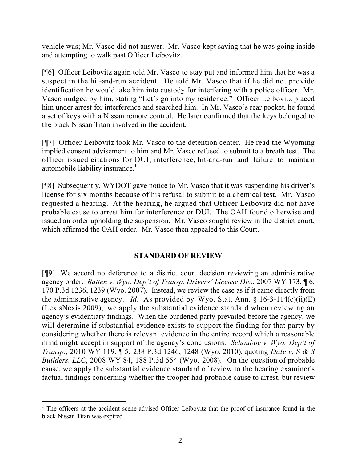vehicle was; Mr. Vasco did not answer. Mr. Vasco kept saying that he was going inside and attempting to walk past Officer Leibovitz.

[¶6] Officer Leibovitz again told Mr. Vasco to stay put and informed him that he was a suspect in the hit-and-run accident. He told Mr. Vasco that if he did not provide identification he would take him into custody for interfering with a police officer. Mr. Vasco nudged by him, stating "Let's go into my residence." Officer Leibovitz placed him under arrest for interference and searched him. In Mr. Vasco's rear pocket, he found a set of keys with a Nissan remote control. He later confirmed that the keys belonged to the black Nissan Titan involved in the accident.

[¶7] Officer Leibovitz took Mr. Vasco to the detention center. He read the Wyoming implied consent advisement to him and Mr. Vasco refused to submit to a breath test. The officer issued citations for DUI, interference, hit-and-run and failure to maintain automobile liability insurance.<sup>1</sup>

[¶8] Subsequently, WYDOT gave notice to Mr. Vasco that it was suspending his driver's license for six months because of his refusal to submit to a chemical test. Mr. Vasco requested a hearing. At the hearing, he argued that Officer Leibovitz did not have probable cause to arrest him for interference or DUI. The OAH found otherwise and issued an order upholding the suspension. Mr. Vasco sought review in the district court, which affirmed the OAH order. Mr. Vasco then appealed to this Court.

# **STANDARD OF REVIEW**

[¶9] We accord no deference to a district court decision reviewing an administrative agency order. *Batten v. Wyo. Dep't of Transp. Drivers' License Div*., 2007 WY 173, ¶ 6, 170 P.3d 1236, 1239 (Wyo. 2007). Instead, we review the case as if it came directly from the administrative agency. *Id*. As provided by Wyo. Stat. Ann.  $\S$  16-3-114(c)(ii)(E) (LexisNexis 2009), we apply the substantial evidence standard when reviewing an agency's evidentiary findings. When the burdened party prevailed before the agency, we will determine if substantial evidence exists to support the finding for that party by considering whether there is relevant evidence in the entire record which a reasonable mind might accept in support of the agency's conclusions. *Schouboe v. Wyo. Dep't of Transp*., 2010 WY 119, ¶ 5, 238 P.3d 1246, 1248 (Wyo. 2010), quoting *Dale v. S & S Builders, LLC*, 2008 WY 84, 188 P.3d 554 (Wyo. 2008). On the question of probable cause, we apply the substantial evidence standard of review to the hearing examiner's factual findings concerning whether the trooper had probable cause to arrest, but review

 $\overline{a}$ 

<sup>&</sup>lt;sup>1</sup> The officers at the accident scene advised Officer Leibovitz that the proof of insurance found in the black Nissan Titan was expired.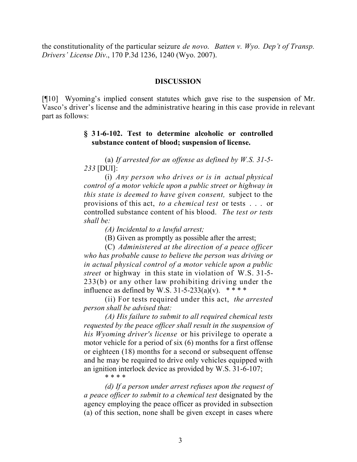the constitutionality of the particular seizure *de novo*. *Batten v. Wyo. Dep't of Transp. Drivers' License Div*., 170 P.3d 1236, 1240 (Wyo. 2007).

#### **DISCUSSION**

[¶10] Wyoming's implied consent statutes which gave rise to the suspension of Mr. Vasco's driver's license and the administrative hearing in this case provide in relevant part as follows:

### **§ 31-6-102. Test to determine alcoholic or controlled substance content of blood; suspension of license.**

(a) *If arrested for an offense as defined by W.S. 31-5- 233* [DUI]:

(i) *Any person who drives or is in actual physical control of a motor vehicle upon a public street or highway in this state is deemed to have given consent,* subject to the provisions of this act, *to a chemical test* or tests . . . or controlled substance content of his blood. *The test or tests shall be:*

*(A) Incidental to a lawful arrest;*

(B) Given as promptly as possible after the arrest;

(C) *Administered at the direction of a peace officer who has probable cause to believe the person was driving or in actual physical control of a motor vehicle upon a public street* or highway in this state in violation of W.S. 31-5- 233(b) or any other law prohibiting driving under the influence as defined by W.S.  $31-5-233(a)(v)$ . \*\*\*\*

(ii) For tests required under this act, *the arrested person shall be advised that:*

*(A) His failure to submit to all required chemical tests requested by the peace officer shall result in the suspension of his Wyoming driver's license* or his privilege to operate a motor vehicle for a period of six (6) months for a first offense or eighteen (18) months for a second or subsequent offense and he may be required to drive only vehicles equipped with an ignition interlock device as provided by W.S. 31-6-107;

\* \* \* \*

*(d) If a person under arrest refuses upon the request of a peace officer to submit to a chemical test* designated by the agency employing the peace officer as provided in subsection (a) of this section, none shall be given except in cases where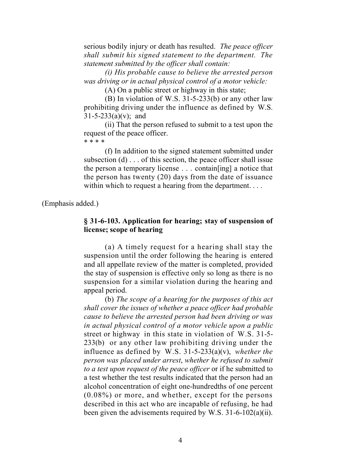serious bodily injury or death has resulted. *The peace officer shall submit his signed statement to the department. The statement submitted by the officer shall contain:*

*(i) His probable cause to believe the arrested person was driving or in actual physical control of a motor vehicle:*

(A) On a public street or highway in this state;

(B) In violation of W.S. 31-5-233(b) or any other law prohibiting driving under the influence as defined by W.S.  $31 - 5 - 233(a)(v)$ ; and

(ii) That the person refused to submit to a test upon the request of the peace officer.

\* \* \* \*

(f) In addition to the signed statement submitted under subsection  $(d)$ ... of this section, the peace officer shall issue the person a temporary license . . . contain[ing] a notice that the person has twenty (20) days from the date of issuance within which to request a hearing from the department....

(Emphasis added.)

# **§ 31-6-103. Application for hearing; stay of suspension of license; scope of hearing**

(a) A timely request for a hearing shall stay the suspension until the order following the hearing is entered and all appellate review of the matter is completed, provided the stay of suspension is effective only so long as there is no suspension for a similar violation during the hearing and appeal period.

(b) *The scope of a hearing for the purposes of this act shall cover the issues of whether a peace officer had probable cause to believe the arrested person had been driving or was in actual physical control of a motor vehicle upon a public* street or highway in this state in violation of W.S. 31-5- 233(b) or any other law prohibiting driving under the influence as defined by W.S. 31-5-233(a)(v), *whether the person was placed under arrest*, *whether he refused to submit to a test upon request of the peace officer* or if he submitted to a test whether the test results indicated that the person had an alcohol concentration of eight one-hundredths of one percent (0.08%) or more, and whether, except for the persons described in this act who are incapable of refusing, he had been given the advisements required by W.S. 31-6-102(a)(ii).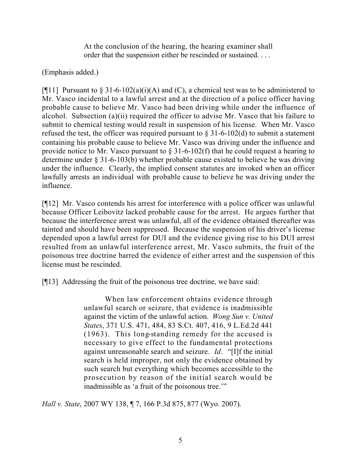At the conclusion of the hearing, the hearing examiner shall order that the suspension either be rescinded or sustained. . . .

(Emphasis added.)

[ $[$ [11] Pursuant to  $\S 31-6-102(a)(i)(A)$  and (C), a chemical test was to be administered to Mr. Vasco incidental to a lawful arrest and at the direction of a police officer having probable cause to believe Mr. Vasco had been driving while under the influence of alcohol. Subsection (a)(ii) required the officer to advise Mr. Vasco that his failure to submit to chemical testing would result in suspension of his license. When Mr. Vasco refused the test, the officer was required pursuant to  $\S 31-6-102(d)$  to submit a statement containing his probable cause to believe Mr. Vasco was driving under the influence and provide notice to Mr. Vasco pursuant to  $\S$  31-6-102(f) that he could request a hearing to determine under § 31-6-103(b) whether probable cause existed to believe he was driving under the influence. Clearly, the implied consent statutes are invoked when an officer lawfully arrests an individual with probable cause to believe he was driving under the influence.

[¶12] Mr. Vasco contends his arrest for interference with a police officer was unlawful because Officer Leibovitz lacked probable cause for the arrest. He argues further that because the interference arrest was unlawful, all of the evidence obtained thereafter was tainted and should have been suppressed. Because the suspension of his driver's license depended upon a lawful arrest for DUI and the evidence giving rise to his DUI arrest resulted from an unlawful interference arrest, Mr. Vasco submits, the fruit of the poisonous tree doctrine barred the evidence of either arrest and the suspension of this license must be rescinded.

[¶13] Addressing the fruit of the poisonous tree doctrine, we have said:

When law enforcement obtains evidence through unlawful search or seizure, that evidence is inadmissible against the victim of the unlawful action. *Wong Sun v. United States*, 371 U.S. 471, 484, 83 S.Ct. 407, 416, 9 L.Ed.2d 441 (1963). This long-standing remedy for the accused is necessary to give effect to the fundamental protections against unreasonable search and seizure. *Id*. "[I]f the initial search is held improper, not only the evidence obtained by such search but everything which becomes accessible to the prosecution by reason of the initial search would be inadmissible as 'a fruit of the poisonous tree.'"

*Hall v. State*, 2007 WY 138, ¶ 7, 166 P.3d 875, 877 (Wyo. 2007).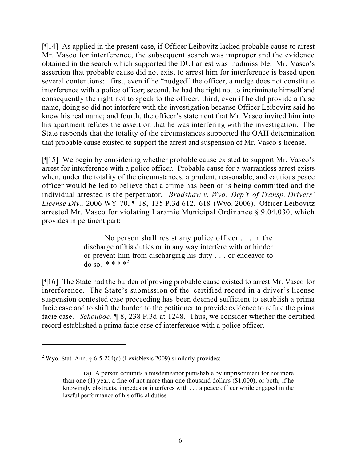[¶14] As applied in the present case, if Officer Leibovitz lacked probable cause to arrest Mr. Vasco for interference, the subsequent search was improper and the evidence obtained in the search which supported the DUI arrest was inadmissible. Mr. Vasco's assertion that probable cause did not exist to arrest him for interference is based upon several contentions: first, even if he "nudged" the officer, a nudge does not constitute interference with a police officer; second, he had the right not to incriminate himself and consequently the right not to speak to the officer; third, even if he did provide a false name, doing so did not interfere with the investigation because Officer Leibovitz said he knew his real name; and fourth, the officer's statement that Mr. Vasco invited him into his apartment refutes the assertion that he was interfering with the investigation. The State responds that the totality of the circumstances supported the OAH determination that probable cause existed to support the arrest and suspension of Mr. Vasco's license.

[¶15] We begin by considering whether probable cause existed to support Mr. Vasco's arrest for interference with a police officer. Probable cause for a warrantless arrest exists when, under the totality of the circumstances, a prudent, reasonable, and cautious peace officer would be led to believe that a crime has been or is being committed and the individual arrested is the perpetrator. *Bradshaw v. Wyo. Dep't of Transp. Drivers' License Div*., 2006 WY 70, ¶ 18, 135 P.3d 612, 618 (Wyo. 2006). Officer Leibovitz arrested Mr. Vasco for violating Laramie Municipal Ordinance § 9.04.030, which provides in pertinent part:

> No person shall resist any police officer . . . in the discharge of his duties or in any way interfere with or hinder or prevent him from discharging his duty . . . or endeavor to  $\log 80 \cdot$  \* \* \* \* 2

[¶16] The State had the burden of proving probable cause existed to arrest Mr. Vasco for interference. The State's submission of the certified record in a driver's license suspension contested case proceeding has been deemed sufficient to establish a prima facie case and to shift the burden to the petitioner to provide evidence to refute the prima facie case. *Schouboe,* ¶ 8, 238 P.3d at 1248. Thus, we consider whether the certified record established a prima facie case of interference with a police officer.

 $\overline{a}$ 

<sup>&</sup>lt;sup>2</sup> Wyo. Stat. Ann. § 6-5-204(a) (LexisNexis 2009) similarly provides:

<sup>(</sup>a) A person commits a misdemeanor punishable by imprisonment for not more than one  $(1)$  year, a fine of not more than one thousand dollars  $(\$1,000)$ , or both, if he knowingly obstructs, impedes or interferes with . . . a peace officer while engaged in the lawful performance of his official duties.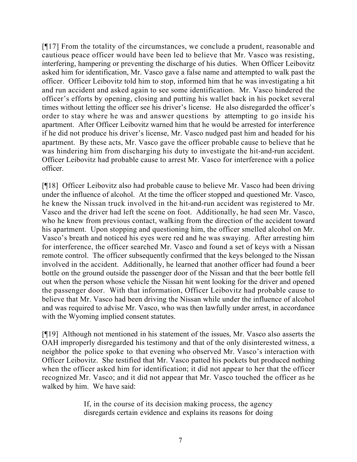[¶17] From the totality of the circumstances, we conclude a prudent, reasonable and cautious peace officer would have been led to believe that Mr. Vasco was resisting, interfering, hampering or preventing the discharge of his duties. When Officer Leibovitz asked him for identification, Mr. Vasco gave a false name and attempted to walk past the officer. Officer Leibovitz told him to stop, informed him that he was investigating a hit and run accident and asked again to see some identification. Mr. Vasco hindered the officer's efforts by opening, closing and putting his wallet back in his pocket several times without letting the officer see his driver's license. He also disregarded the officer's order to stay where he was and answer questions by attempting to go inside his apartment. After Officer Leibovitz warned him that he would be arrested for interference if he did not produce his driver's license, Mr. Vasco nudged past him and headed for his apartment. By these acts, Mr. Vasco gave the officer probable cause to believe that he was hindering him from discharging his duty to investigate the hit-and-run accident. Officer Leibovitz had probable cause to arrest Mr. Vasco for interference with a police officer.

[¶18] Officer Leibovitz also had probable cause to believe Mr. Vasco had been driving under the influence of alcohol. At the time the officer stopped and questioned Mr. Vasco, he knew the Nissan truck involved in the hit-and-run accident was registered to Mr. Vasco and the driver had left the scene on foot. Additionally, he had seen Mr. Vasco, who he knew from previous contact, walking from the direction of the accident toward his apartment. Upon stopping and questioning him, the officer smelled alcohol on Mr. Vasco's breath and noticed his eyes were red and he was swaying. After arresting him for interference, the officer searched Mr. Vasco and found a set of keys with a Nissan remote control. The officer subsequently confirmed that the keys belonged to the Nissan involved in the accident. Additionally, he learned that another officer had found a beer bottle on the ground outside the passenger door of the Nissan and that the beer bottle fell out when the person whose vehicle the Nissan hit went looking for the driver and opened the passenger door. With that information, Officer Leibovitz had probable cause to believe that Mr. Vasco had been driving the Nissan while under the influence of alcohol and was required to advise Mr. Vasco, who was then lawfully under arrest, in accordance with the Wyoming implied consent statutes.

[¶19] Although not mentioned in his statement of the issues, Mr. Vasco also asserts the OAH improperly disregarded his testimony and that of the only disinterested witness, a neighbor the police spoke to that evening who observed Mr. Vasco's interaction with Officer Leibovitz. She testified that Mr. Vasco patted his pockets but produced nothing when the officer asked him for identification; it did not appear to her that the officer recognized Mr. Vasco; and it did not appear that Mr. Vasco touched the officer as he walked by him. We have said:

> If, in the course of its decision making process, the agency disregards certain evidence and explains its reasons for doing